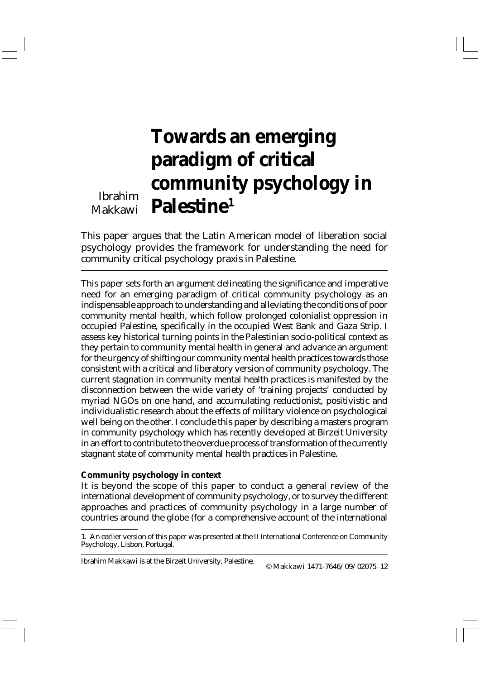# **Towards an emerging paradigm of critical community psychology in Palestine1**

Ibrahim Makkawi

This paper argues that the Latin American model of liberation social psychology provides the framework for understanding the need for community critical psychology praxis in Palestine.

This paper sets forth an argument delineating the significance and imperative need for an emerging paradigm of critical community psychology as an indispensable approach to understanding and alleviating the conditions of poor community mental health, which follow prolonged colonialist oppression in occupied Palestine, specifically in the occupied West Bank and Gaza Strip. I assess key historical turning points in the Palestinian socio-political context as they pertain to community mental health in general and advance an argument for the urgency of shifting our community mental health practices towards those consistent with a critical and liberatory version of community psychology. The current stagnation in community mental health practices is manifested by the disconnection between the wide variety of 'training projects' conducted by myriad NGOs on one hand, and accumulating reductionist, positivistic and individualistic research about the effects of military violence on psychological well being on the other. I conclude this paper by describing a masters program in community psychology which has recently developed at Birzeit University in an effort to contribute to the overdue process of transformation of the currently stagnant state of community mental health practices in Palestine.

### **Community psychology in context**

It is beyond the scope of this paper to conduct a general review of the international development of community psychology, or to survey the different approaches and practices of community psychology in a large number of countries around the globe (for a comprehensive account of the international

Ibrahim Makkawi is at the Birzeit University, Palestine.

© Makkawi 1471-7646/09/02075–12

<sup>1.</sup> An earlier version of this paper was presented at the II International Conference on Community Psychology, Lisbon, Portugal.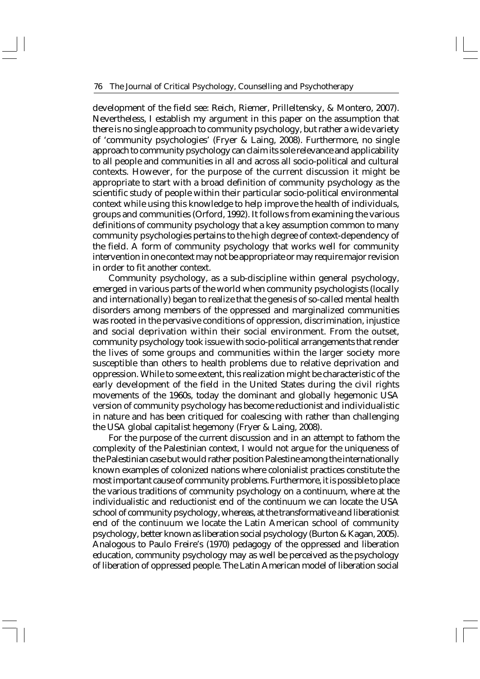development of the field see: Reich, Riemer, Prilleltensky, & Montero, 2007). Nevertheless, I establish my argument in this paper on the assumption that there is no single approach to community psychology, but rather a wide variety of 'community psychologies' (Fryer & Laing, 2008). Furthermore, no single approach to community psychology can claim its sole relevance and applicability to all people and communities in all and across all socio-political and cultural contexts. However, for the purpose of the current discussion it might be appropriate to start with a broad definition of community psychology as the scientific study of people within their particular socio-political environmental context while using this knowledge to help improve the health of individuals, groups and communities (Orford, 1992). It follows from examining the various definitions of community psychology that a key assumption common to many community psychologies pertains to the high degree of context-dependency of the field. A form of community psychology that works well for community intervention in one context may not be appropriate or may require major revision in order to fit another context.

Community psychology, as a sub-discipline within general psychology, emerged in various parts of the world when community psychologists (locally and internationally) began to realize that the genesis of so-called mental health disorders among members of the oppressed and marginalized communities was rooted in the pervasive conditions of oppression, discrimination, injustice and social deprivation within their social environment. From the outset, community psychology took issue with socio-political arrangements that render the lives of some groups and communities within the larger society more susceptible than others to health problems due to relative deprivation and oppression. While to some extent, this realization might be characteristic of the early development of the field in the United States during the civil rights movements of the 1960s, today the dominant and globally hegemonic USA version of community psychology has become reductionist and individualistic in nature and has been critiqued for coalescing with rather than challenging the USA global capitalist hegemony (Fryer & Laing, 2008).

For the purpose of the current discussion and in an attempt to fathom the complexity of the Palestinian context, I would not argue for the uniqueness of the Palestinian case but would rather position Palestine among the internationally known examples of colonized nations where colonialist practices constitute the most important cause of community problems. Furthermore, it is possible to place the various traditions of community psychology on a continuum, where at the individualistic and reductionist end of the continuum we can locate the USA school of community psychology, whereas, at the transformative and liberationist end of the continuum we locate the Latin American school of community psychology, better known as liberation social psychology (Burton & Kagan, 2005). Analogous to Paulo Freire's (1970) pedagogy of the oppressed and liberation education, community psychology may as well be perceived as the psychology of liberation of oppressed people. The Latin American model of liberation social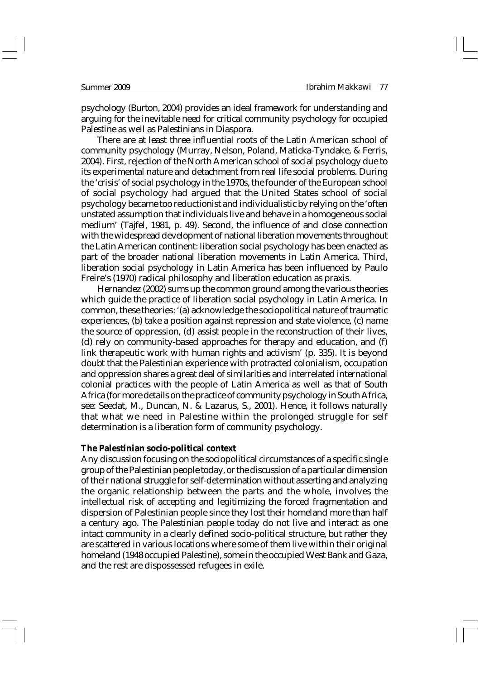psychology (Burton, 2004) provides an ideal framework for understanding and arguing for the inevitable need for critical community psychology for occupied Palestine as well as Palestinians in Diaspora.

There are at least three influential roots of the Latin American school of community psychology (Murray, Nelson, Poland, Maticka-Tyndake, & Ferris, 2004). First, rejection of the North American school of social psychology due to its experimental nature and detachment from real life social problems. During the 'crisis' of social psychology in the 1970s, the founder of the European school of social psychology had argued that the United States school of social psychology became too reductionist and individualistic by relying on the 'often unstated assumption that individuals live and behave in a homogeneous social medium' (Tajfel, 1981, p. 49). Second, the influence of and close connection with the widespread development of national liberation movements throughout the Latin American continent: liberation social psychology has been enacted as part of the broader national liberation movements in Latin America. Third, liberation social psychology in Latin America has been influenced by Paulo Freire's (1970) radical philosophy and liberation education as praxis.

Hernandez (2002) sums up the common ground among the various theories which guide the practice of liberation social psychology in Latin America. In common, these theories: '(a) acknowledge the sociopolitical nature of traumatic experiences, (b) take a position against repression and state violence, (c) name the source of oppression, (d) assist people in the reconstruction of their lives, (d) rely on community-based approaches for therapy and education, and (f) link therapeutic work with human rights and activism' (p. 335). It is beyond doubt that the Palestinian experience with protracted colonialism, occupation and oppression shares a great deal of similarities and interrelated international colonial practices with the people of Latin America as well as that of South Africa (for more details on the practice of community psychology in South Africa, see: Seedat, M., Duncan, N. & Lazarus, S., 2001). Hence, it follows naturally that what we need in Palestine within the prolonged struggle for self determination is a liberation form of community psychology.

### **The Palestinian socio-political context**

Any discussion focusing on the sociopolitical circumstances of a specific single group of the Palestinian people today, or the discussion of a particular dimension of their national struggle for self-determination without asserting and analyzing the organic relationship between the parts and the whole, involves the intellectual risk of accepting and legitimizing the forced fragmentation and dispersion of Palestinian people since they lost their homeland more than half a century ago. The Palestinian people today do not live and interact as one intact community in a clearly defined socio-political structure, but rather they are scattered in various locations where some of them live within their original homeland (1948 occupied Palestine), some in the occupied West Bank and Gaza, and the rest are dispossessed refugees in exile.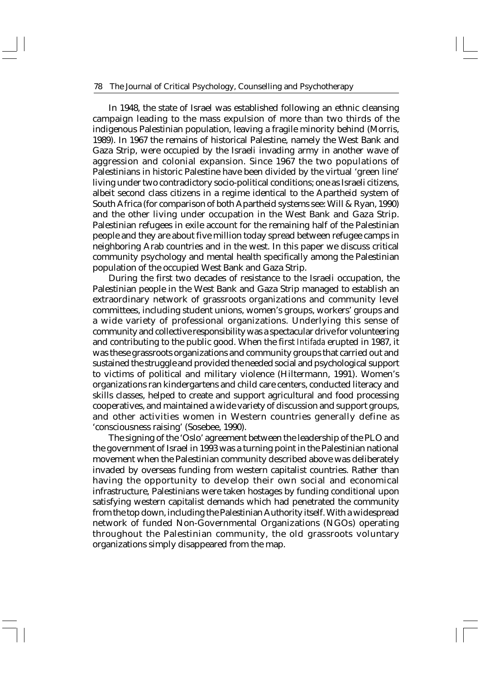In 1948, the state of Israel was established following an ethnic cleansing campaign leading to the mass expulsion of more than two thirds of the indigenous Palestinian population, leaving a fragile minority behind (Morris, 1989). In 1967 the remains of historical Palestine, namely the West Bank and Gaza Strip, were occupied by the Israeli invading army in another wave of aggression and colonial expansion. Since 1967 the two populations of Palestinians in historic Palestine have been divided by the virtual 'green line' living under two contradictory socio-political conditions; one as Israeli citizens, albeit second class citizens in a regime identical to the Apartheid system of South Africa (for comparison of both Apartheid systems see: Will & Ryan, 1990) and the other living under occupation in the West Bank and Gaza Strip. Palestinian refugees in exile account for the remaining half of the Palestinian people and they are about five million today spread between refugee camps in neighboring Arab countries and in the west. In this paper we discuss critical community psychology and mental health specifically among the Palestinian population of the occupied West Bank and Gaza Strip.

During the first two decades of resistance to the Israeli occupation, the Palestinian people in the West Bank and Gaza Strip managed to establish an extraordinary network of grassroots organizations and community level committees, including student unions, women's groups, workers' groups and a wide variety of professional organizations. Underlying this sense of community and collective responsibility was a spectacular drive for volunteering and contributing to the public good. When the first *Intifada* erupted in 1987, it was these grassroots organizations and community groups that carried out and sustained the struggle and provided the needed social and psychological support to victims of political and military violence (Hiltermann, 1991). Women's organizations ran kindergartens and child care centers, conducted literacy and skills classes, helped to create and support agricultural and food processing cooperatives, and maintained a wide variety of discussion and support groups, and other activities women in Western countries generally define as 'consciousness raising' (Sosebee, 1990).

The signing of the 'Oslo' agreement between the leadership of the PLO and the government of Israel in 1993 was a turning point in the Palestinian national movement when the Palestinian community described above was deliberately invaded by overseas funding from western capitalist countries. Rather than having the opportunity to develop their own social and economical infrastructure, Palestinians were taken hostages by funding conditional upon satisfying western capitalist demands which had penetrated the community from the top down, including the Palestinian Authority itself. With a widespread network of funded Non-Governmental Organizations (NGOs) operating throughout the Palestinian community, the old grassroots voluntary organizations simply disappeared from the map.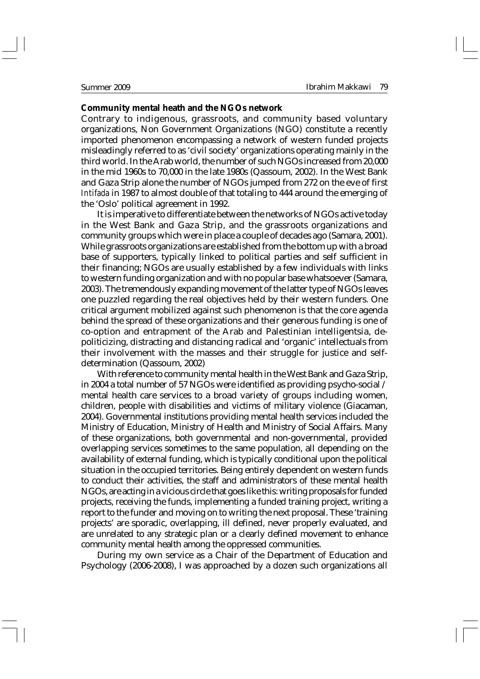### **Community mental heath and the NGOs network**

Contrary to indigenous, grassroots, and community based voluntary organizations, Non Government Organizations (NGO) constitute a recently imported phenomenon encompassing a network of western funded projects misleadingly referred to as 'civil society' organizations operating mainly in the third world. In the Arab world, the number of such NGOs increased from 20,000 in the mid 1960s to 70,000 in the late 1980s (Qassoum, 2002). In the West Bank and Gaza Strip alone the number of NGOs jumped from 272 on the eve of first *Intifada* in 1987 to almost double of that totaling to 444 around the emerging of the 'Oslo' political agreement in 1992.

It is imperative to differentiate between the networks of NGOs active today in the West Bank and Gaza Strip, and the grassroots organizations and community groups which were in place a couple of decades ago (Samara, 2001). While grassroots organizations are established from the bottom up with a broad base of supporters, typically linked to political parties and self sufficient in their financing; NGOs are usually established by a few individuals with links to western funding organization and with no popular base whatsoever (Samara, 2003). The tremendously expanding movement of the latter type of NGOs leaves one puzzled regarding the real objectives held by their western funders. One critical argument mobilized against such phenomenon is that the core agenda behind the spread of these organizations and their generous funding is one of co-option and entrapment of the Arab and Palestinian intelligentsia, depoliticizing, distracting and distancing radical and 'organic' intellectuals from their involvement with the masses and their struggle for justice and selfdetermination (Qassoum, 2002)

With reference to community mental health in the West Bank and Gaza Strip, in 2004 a total number of 57 NGOs were identified as providing psycho-social / mental health care services to a broad variety of groups including women, children, people with disabilities and victims of military violence (Giacaman, 2004). Governmental institutions providing mental health services included the Ministry of Education, Ministry of Health and Ministry of Social Affairs. Many of these organizations, both governmental and non-governmental, provided overlapping services sometimes to the same population, all depending on the availability of external funding, which is typically conditional upon the political situation in the occupied territories. Being entirely dependent on western funds to conduct their activities, the staff and administrators of these mental health NGOs, are acting in a vicious circle that goes like this: writing proposals for funded projects, receiving the funds, implementing a funded training project, writing a report to the funder and moving on to writing the next proposal. These 'training projects' are sporadic, overlapping, ill defined, never properly evaluated, and are unrelated to any strategic plan or a clearly defined movement to enhance community mental health among the oppressed communities.

During my own service as a Chair of the Department of Education and Psychology (2006-2008), I was approached by a dozen such organizations all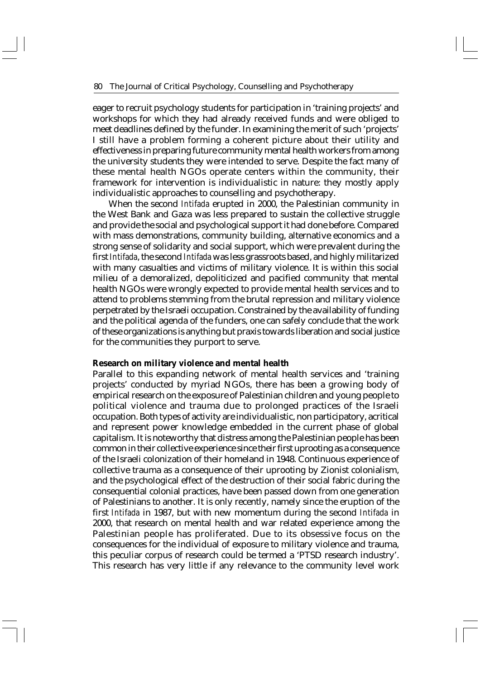eager to recruit psychology students for participation in 'training projects' and workshops for which they had already received funds and were obliged to meet deadlines defined by the funder. In examining the merit of such 'projects' I still have a problem forming a coherent picture about their utility and effectiveness in preparing future community mental health workers from among the university students they were intended to serve. Despite the fact many of these mental health NGOs operate centers within the community, their framework for intervention is individualistic in nature: they mostly apply individualistic approaches to counselling and psychotherapy.

When the second *Intifada* erupted in 2000, the Palestinian community in the West Bank and Gaza was less prepared to sustain the collective struggle and provide the social and psychological support it had done before. Compared with mass demonstrations, community building, alternative economics and a strong sense of solidarity and social support, which were prevalent during the first *Intifada*, the second *Intifada* was less grassroots based, and highly militarized with many casualties and victims of military violence. It is within this social milieu of a demoralized, depoliticized and pacified community that mental health NGOs were wrongly expected to provide mental health services and to attend to problems stemming from the brutal repression and military violence perpetrated by the Israeli occupation. Constrained by the availability of funding and the political agenda of the funders, one can safely conclude that the work of these organizations is anything but praxis towards liberation and social justice for the communities they purport to serve.

### **Research on military violence and mental health**

Parallel to this expanding network of mental health services and 'training projects' conducted by myriad NGOs, there has been a growing body of empirical research on the exposure of Palestinian children and young people to political violence and trauma due to prolonged practices of the Israeli occupation. Both types of activity are individualistic, non participatory, acritical and represent power knowledge embedded in the current phase of global capitalism. It is noteworthy that distress among the Palestinian people has been common in their collective experience since their first uprooting as a consequence of the Israeli colonization of their homeland in 1948. Continuous experience of collective trauma as a consequence of their uprooting by Zionist colonialism, and the psychological effect of the destruction of their social fabric during the consequential colonial practices, have been passed down from one generation of Palestinians to another. It is only recently, namely since the eruption of the first *Intifada* in 1987, but with new momentum during the second *Intifada* in 2000, that research on mental health and war related experience among the Palestinian people has proliferated. Due to its obsessive focus on the consequences for the individual of exposure to military violence and trauma, this peculiar corpus of research could be termed a 'PTSD research industry'. This research has very little if any relevance to the community level work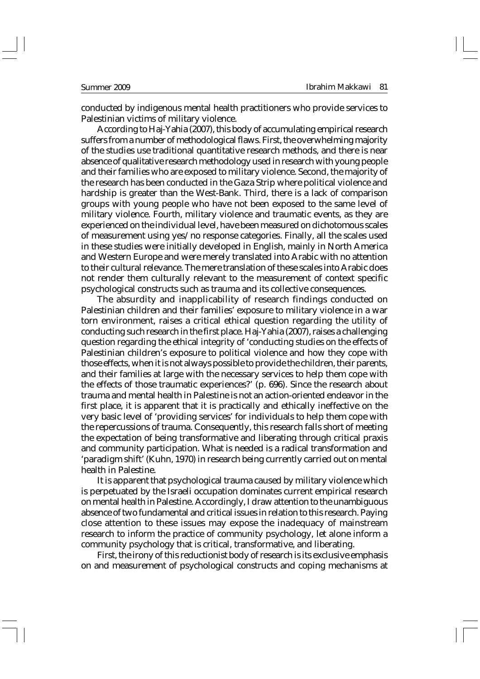conducted by indigenous mental health practitioners who provide services to Palestinian victims of military violence.

According to Haj-Yahia (2007), this body of accumulating empirical research suffers from a number of methodological flaws. First, the overwhelming majority of the studies use traditional quantitative research methods, and there is near absence of qualitative research methodology used in research with young people and their families who are exposed to military violence. Second, the majority of the research has been conducted in the Gaza Strip where political violence and hardship is greater than the West-Bank. Third, there is a lack of comparison groups with young people who have not been exposed to the same level of military violence. Fourth, military violence and traumatic events, as they are experienced on the individual level, have been measured on dichotomous scales of measurement using yes/no response categories. Finally, all the scales used in these studies were initially developed in English, mainly in North America and Western Europe and were merely translated into Arabic with no attention to their cultural relevance. The mere translation of these scales into Arabic does not render them culturally relevant to the measurement of context specific psychological constructs such as trauma and its collective consequences.

The absurdity and inapplicability of research findings conducted on Palestinian children and their families' exposure to military violence in a war torn environment, raises a critical ethical question regarding the utility of conducting such research in the first place. Haj-Yahia (2007), raises a challenging question regarding the ethical integrity of 'conducting studies on the effects of Palestinian children's exposure to political violence and how they cope with those effects, when it is not always possible to provide the children, their parents, and their families at large with the necessary services to help them cope with the effects of those traumatic experiences?' (p. 696). Since the research about trauma and mental health in Palestine is not an action-oriented endeavor in the first place, it is apparent that it is practically and ethically ineffective on the very basic level of 'providing services' for individuals to help them cope with the repercussions of trauma. Consequently, this research falls short of meeting the expectation of being transformative and liberating through critical praxis and community participation. What is needed is a radical transformation and 'paradigm shift' (Kuhn, 1970) in research being currently carried out on mental health in Palestine.

It is apparent that psychological trauma caused by military violence which is perpetuated by the Israeli occupation dominates current empirical research on mental health in Palestine. Accordingly, I draw attention to the unambiguous absence of two fundamental and critical issues in relation to this research. Paying close attention to these issues may expose the inadequacy of mainstream research to inform the practice of community psychology, let alone inform a community psychology that is critical, transformative, and liberating.

First, the irony of this reductionist body of research is its exclusive emphasis on and measurement of psychological constructs and coping mechanisms at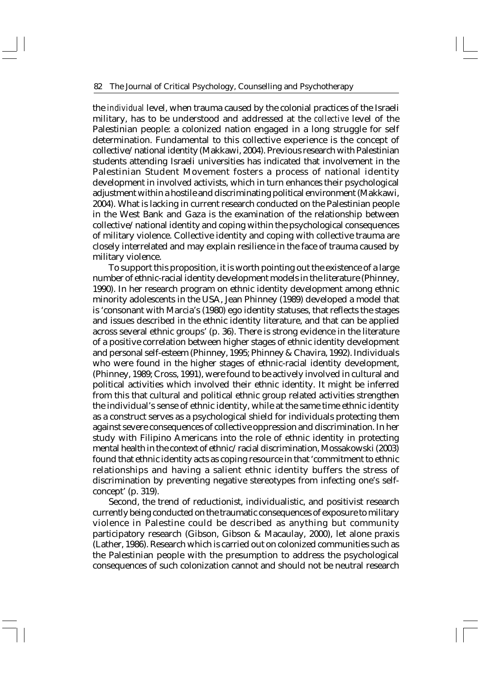the *individual* level, when trauma caused by the colonial practices of the Israeli military, has to be understood and addressed at the *collective* level of the Palestinian people: a colonized nation engaged in a long struggle for self determination. Fundamental to this collective experience is the concept of collective/national identity (Makkawi, 2004). Previous research with Palestinian students attending Israeli universities has indicated that involvement in the Palestinian Student Movement fosters a process of national identity development in involved activists, which in turn enhances their psychological adjustment within a hostile and discriminating political environment (Makkawi, 2004). What is lacking in current research conducted on the Palestinian people in the West Bank and Gaza is the examination of the relationship between collective/national identity and coping within the psychological consequences of military violence. Collective identity and coping with collective trauma are closely interrelated and may explain resilience in the face of trauma caused by military violence.

To support this proposition, it is worth pointing out the existence of a large number of ethnic-racial identity development models in the literature (Phinney, 1990). In her research program on ethnic identity development among ethnic minority adolescents in the USA, Jean Phinney (1989) developed a model that is 'consonant with Marcia's (1980) ego identity statuses, that reflects the stages and issues described in the ethnic identity literature, and that can be applied across several ethnic groups' (p. 36). There is strong evidence in the literature of a positive correlation between higher stages of ethnic identity development and personal self-esteem (Phinney, 1995; Phinney & Chavira, 1992). Individuals who were found in the higher stages of ethnic-racial identity development, (Phinney, 1989; Cross, 1991), were found to be actively involved in cultural and political activities which involved their ethnic identity. It might be inferred from this that cultural and political ethnic group related activities strengthen the individual's sense of ethnic identity, while at the same time ethnic identity as a construct serves as a psychological shield for individuals protecting them against severe consequences of collective oppression and discrimination. In her study with Filipino Americans into the role of ethnic identity in protecting mental health in the context of ethnic/racial discrimination, Mossakowski (2003) found that ethnic identity acts as coping resource in that 'commitment to ethnic relationships and having a salient ethnic identity buffers the stress of discrimination by preventing negative stereotypes from infecting one's selfconcept' (p. 319).

Second, the trend of reductionist, individualistic, and positivist research currently being conducted on the traumatic consequences of exposure to military violence in Palestine could be described as anything but community participatory research (Gibson, Gibson & Macaulay, 2000), let alone praxis (Lather, 1986). Research which is carried out on colonized communities such as the Palestinian people with the presumption to address the psychological consequences of such colonization cannot and should not be neutral research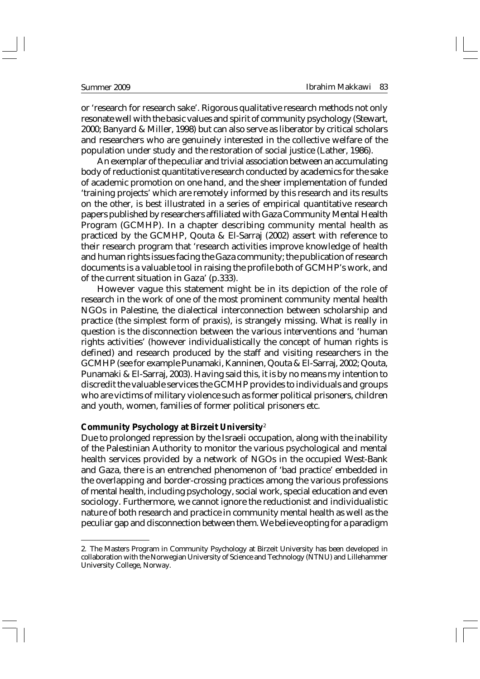or 'research for research sake'. Rigorous qualitative research methods not only resonate well with the basic values and spirit of community psychology (Stewart, 2000; Banyard & Miller, 1998) but can also serve as liberator by critical scholars and researchers who are genuinely interested in the collective welfare of the population under study and the restoration of social justice (Lather, 1986).

An exemplar of the peculiar and trivial association between an accumulating body of reductionist quantitative research conducted by academics for the sake of academic promotion on one hand, and the sheer implementation of funded 'training projects' which are remotely informed by this research and its results on the other, is best illustrated in a series of empirical quantitative research papers published by researchers affiliated with Gaza Community Mental Health Program (GCMHP). In a chapter describing community mental health as practiced by the GCMHP, Qouta & El-Sarraj (2002) assert with reference to their research program that 'research activities improve knowledge of health and human rights issues facing the Gaza community; the publication of research documents is a valuable tool in raising the profile both of GCMHP's work, and of the current situation in Gaza' (p.333).

However vague this statement might be in its depiction of the role of research in the work of one of the most prominent community mental health NGOs in Palestine, the dialectical interconnection between scholarship and practice (the simplest form of praxis), is strangely missing. What is really in question is the disconnection between the various interventions and 'human rights activities' (however individualistically the concept of human rights is defined) and research produced by the staff and visiting researchers in the GCMHP (see for example Punamaki, Kanninen, Qouta & El-Sarraj, 2002; Qouta, Punamaki & El-Sarraj, 2003). Having said this, it is by no means my intention to discredit the valuable services the GCMHP provides to individuals and groups who are victims of military violence such as former political prisoners, children and youth, women, families of former political prisoners etc.

## **Community Psychology at Birzeit University**<sup>2</sup>

Due to prolonged repression by the Israeli occupation, along with the inability of the Palestinian Authority to monitor the various psychological and mental health services provided by a network of NGOs in the occupied West-Bank and Gaza, there is an entrenched phenomenon of 'bad practice' embedded in the overlapping and border-crossing practices among the various professions of mental health, including psychology, social work, special education and even sociology. Furthermore, we cannot ignore the reductionist and individualistic nature of both research and practice in community mental health as well as the peculiar gap and disconnection between them. We believe opting for a paradigm

<sup>2.</sup> The Masters Program in Community Psychology at Birzeit University has been developed in collaboration with the Norwegian University of Science and Technology (NTNU) and Lillehammer University College, Norway.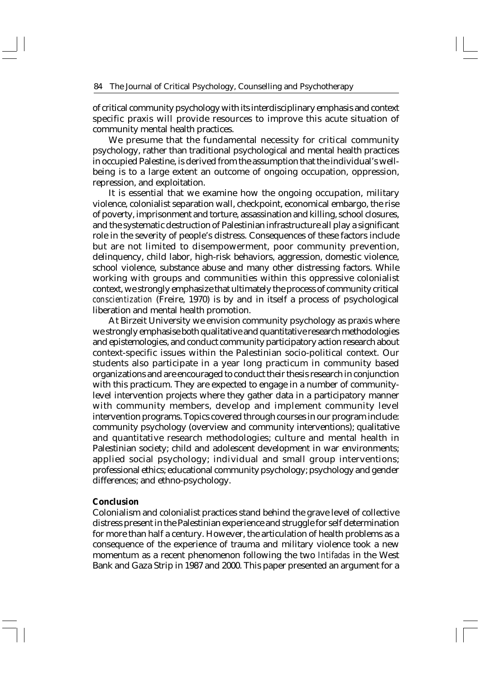of critical community psychology with its interdisciplinary emphasis and context specific praxis will provide resources to improve this acute situation of community mental health practices.

We presume that the fundamental necessity for critical community psychology, rather than traditional psychological and mental health practices in occupied Palestine, is derived from the assumption that the individual's wellbeing is to a large extent an outcome of ongoing occupation, oppression, repression, and exploitation.

It is essential that we examine how the ongoing occupation, military violence, colonialist separation wall, checkpoint, economical embargo, the rise of poverty, imprisonment and torture, assassination and killing, school closures, and the systematic destruction of Palestinian infrastructure all play a significant role in the severity of people's distress. Consequences of these factors include but are not limited to disempowerment, poor community prevention, delinquency, child labor, high-risk behaviors, aggression, domestic violence, school violence, substance abuse and many other distressing factors. While working with groups and communities within this oppressive colonialist context, we strongly emphasize that ultimately the process of community critical *conscientization* (Freire, 1970) is by and in itself a process of psychological liberation and mental health promotion.

At Birzeit University we envision community psychology as praxis where we strongly emphasise both qualitative and quantitative research methodologies and epistemologies, and conduct community participatory action research about context-specific issues within the Palestinian socio-political context. Our students also participate in a year long practicum in community based organizations and are encouraged to conduct their thesis research in conjunction with this practicum. They are expected to engage in a number of communitylevel intervention projects where they gather data in a participatory manner with community members, develop and implement community level intervention programs. Topics covered through courses in our program include: community psychology (overview and community interventions); qualitative and quantitative research methodologies; culture and mental health in Palestinian society; child and adolescent development in war environments; applied social psychology; individual and small group interventions; professional ethics; educational community psychology; psychology and gender differences; and ethno-psychology.

### **Conclusion**

Colonialism and colonialist practices stand behind the grave level of collective distress present in the Palestinian experience and struggle for self determination for more than half a century. However, the articulation of health problems as a consequence of the experience of trauma and military violence took a new momentum as a recent phenomenon following the two *Intifadas* in the West Bank and Gaza Strip in 1987 and 2000. This paper presented an argument for a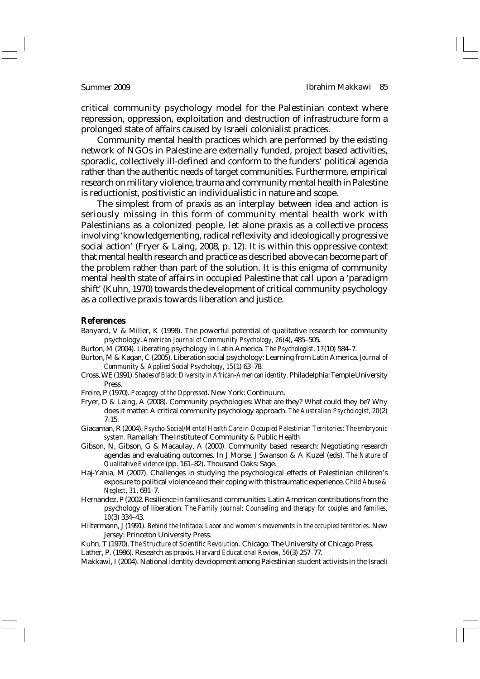critical community psychology model for the Palestinian context where repression, oppression, exploitation and destruction of infrastructure form a prolonged state of affairs caused by Israeli colonialist practices.

Community mental health practices which are performed by the existing network of NGOs in Palestine are externally funded, project based activities, sporadic, collectively ill-defined and conform to the funders' political agenda rather than the authentic needs of target communities. Furthermore, empirical research on military violence, trauma and community mental health in Palestine is reductionist, positivistic an individualistic in nature and scope.

The simplest from of praxis as an interplay between idea and action is seriously missing in this form of community mental health work with Palestinians as a colonized people, let alone praxis as a collective process involving 'knowledgementing, radical reflexivity and ideologically progressive social action' (Fryer & Laing, 2008, p. 12). It is within this oppressive context that mental health research and practice as described above can become part of the problem rather than part of the solution. It is this enigma of community mental health state of affairs in occupied Palestine that call upon a 'paradigm shift' (Kuhn, 1970) towards the development of critical community psychology as a collective praxis towards liberation and justice.

### **References**

- Banyard, V & Miller, K (1998). The powerful potential of qualitative research for community psychology. *American Journal of Community Psychology, 26*(4), 485–505**.**
- Burton, M (2004). Liberating psychology in Latin America. *The Psychologist, 17*(10) 584–7.
- Burton, M & Kagan, C (2005). Liberation social psychology: Learning from Latin America. *Journal of Community & Applied Social Psychology, 15*(1) 63–78.
- Cross, WE (1991). *Shades of Black: Diversity in African-American identity.* Philadelphia: Temple University Press.
- Freire, P (1970)*. Pedagogy of the Oppressed*. New York: Continuum.
- Fryer, D & Laing, A (2008). Community psychologies: What are they? What could they be? Why does it matter: A critical community psychology approach. *The Australian Psychologist, 20*(2) 7-15.
- Giacaman, R (2004). *Psycho-Social/Mental Health Care in Occupied Palestinian Territories: The embryonic system.* Ramallah: The Institute of Community & Public Health
- Gibson, N, Gibson, G & Macaulay, A (2000). Community based research: Negotiating research agendas and evaluating outcomes. In J Morse, J Swanson & A Kuzel (eds). *The Nature of Qualitative Evidence* (pp. 161–82). Thousand Oaks: Sage.
- Haj-Yahia, M (2007). Challenges in studying the psychological effects of Palestinian children's exposure to political violence and their coping with this traumatic experience. *Child Abuse & Neglect, 31*, 691–7.
- Hernandez, P (2002. Resilience in families and communities: Latin American contributions from the psychology of liberation. *The Family Journal: Counseling and therapy for couples and families, 10*(3) 334–43.
- Hiltermann, J (1991). *Behind the Intifada: Labor and women's movements in the occupied territories*. New Jersey: Princeton University Press.

Kuhn, T (1970). *The Structure of Scientific Revolution*. Chicago: The University of Chicago Press.

Lather, P. (1986). Research as praxis. *Harvard Educational Review, 56*(3) 257–77.

Makkawi, I (2004). National identity development among Palestinian student activists in the Israeli